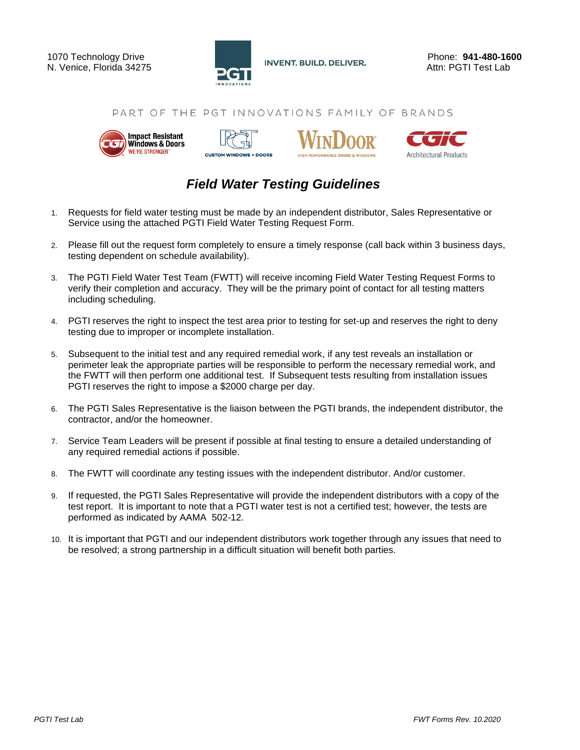

#### PART OF THE PGT INNOVATIONS FAMILY OF BRANDS









## *Field Water Testing Guidelines*

- 1. Requests for field water testing must be made by an independent distributor, Sales Representative or Service using the attached PGTI Field Water Testing Request Form.
- 2. Please fill out the request form completely to ensure a timely response (call back within 3 business days, testing dependent on schedule availability).
- 3. The PGTI Field Water Test Team (FWTT) will receive incoming Field Water Testing Request Forms to verify their completion and accuracy. They will be the primary point of contact for all testing matters including scheduling.
- 4. PGTI reserves the right to inspect the test area prior to testing for set-up and reserves the right to deny testing due to improper or incomplete installation.
- 5. Subsequent to the initial test and any required remedial work, if any test reveals an installation or perimeter leak the appropriate parties will be responsible to perform the necessary remedial work, and the FWTT will then perform one additional test. If Subsequent tests resulting from installation issues PGTI reserves the right to impose a \$2000 charge per day.
- 6. The PGTI Sales Representative is the liaison between the PGTI brands, the independent distributor, the contractor, and/or the homeowner.
- 7. Service Team Leaders will be present if possible at final testing to ensure a detailed understanding of any required remedial actions if possible.
- 8. The FWTT will coordinate any testing issues with the independent distributor. And/or customer.
- 9. If requested, the PGTI Sales Representative will provide the independent distributors with a copy of the test report. It is important to note that a PGTI water test is not a certified test; however, the tests are performed as indicated by AAMA 502-12.
- 10. It is important that PGTI and our independent distributors work together through any issues that need to be resolved; a strong partnership in a difficult situation will benefit both parties.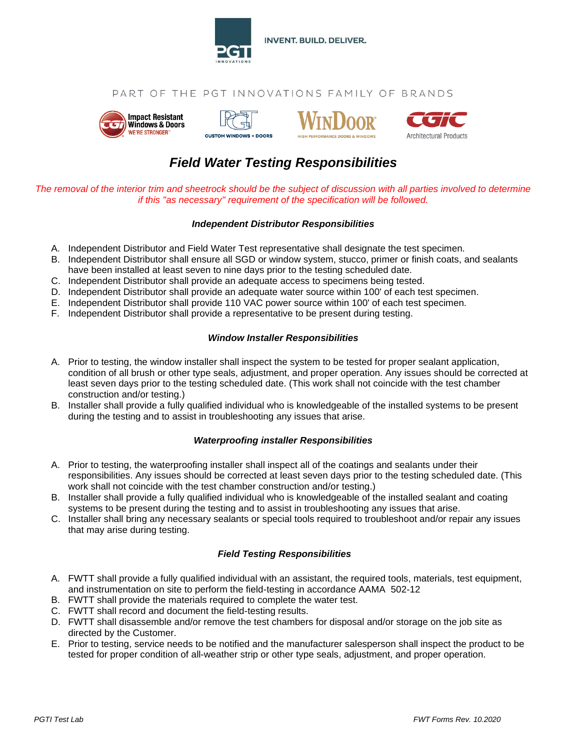

### PART OF THE PGT INNOVATIONS FAMILY OF BRANDS









# *Field Water Testing Responsibilities*

*The removal of the interior trim and sheetrock should be the subject of discussion with all parties involved to determine if this "as necessary" requirement of the specification will be followed.*

#### *Independent Distributor Responsibilities*

- A. Independent Distributor and Field Water Test representative shall designate the test specimen.
- B. Independent Distributor shall ensure all SGD or window system, stucco, primer or finish coats, and sealants have been installed at least seven to nine days prior to the testing scheduled date.
- C. Independent Distributor shall provide an adequate access to specimens being tested.
- D. Independent Distributor shall provide an adequate water source within 100' of each test specimen.
- E. Independent Distributor shall provide 110 VAC power source within 100' of each test specimen.
- F. Independent Distributor shall provide a representative to be present during testing.

#### *Window Installer Responsibilities*

- A. Prior to testing, the window installer shall inspect the system to be tested for proper sealant application, condition of all brush or other type seals, adjustment, and proper operation. Any issues should be corrected at least seven days prior to the testing scheduled date. (This work shall not coincide with the test chamber construction and/or testing.)
- B. Installer shall provide a fully qualified individual who is knowledgeable of the installed systems to be present during the testing and to assist in troubleshooting any issues that arise.

#### *Waterproofing installer Responsibilities*

- A. Prior to testing, the waterproofing installer shall inspect all of the coatings and sealants under their responsibilities. Any issues should be corrected at least seven days prior to the testing scheduled date. (This work shall not coincide with the test chamber construction and/or testing.)
- B. Installer shall provide a fully qualified individual who is knowledgeable of the installed sealant and coating systems to be present during the testing and to assist in troubleshooting any issues that arise.
- C. Installer shall bring any necessary sealants or special tools required to troubleshoot and/or repair any issues that may arise during testing.

#### *Field Testing Responsibilities*

- A. FWTT shall provide a fully qualified individual with an assistant, the required tools, materials, test equipment, and instrumentation on site to perform the field-testing in accordance AAMA 502-12
- B. FWTT shall provide the materials required to complete the water test.
- C. FWTT shall record and document the field-testing results.
- D. FWTT shall disassemble and/or remove the test chambers for disposal and/or storage on the job site as directed by the Customer.
- E. Prior to testing, service needs to be notified and the manufacturer salesperson shall inspect the product to be tested for proper condition of all-weather strip or other type seals, adjustment, and proper operation.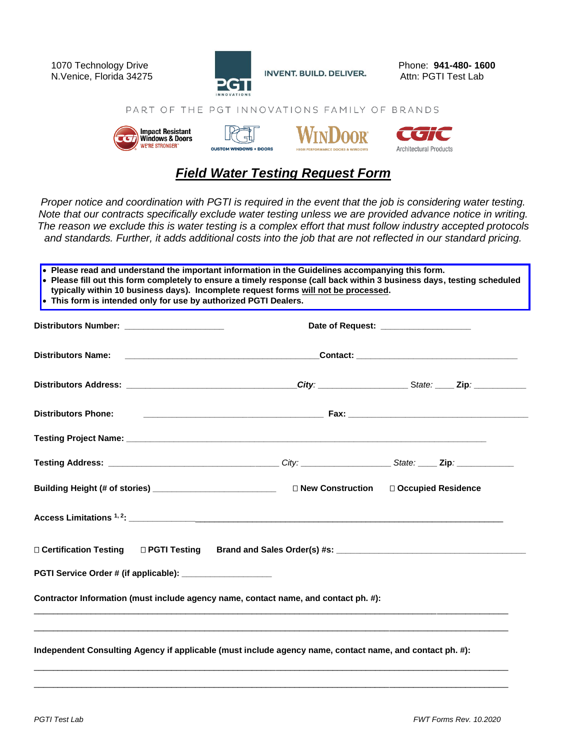

PART OF THE PGT INNOVATIONS FAMILY OF BRANDS



## *Field Water Testing Request Form*

*Proper notice and coordination with PGTI is required in the event that the job is considering water testing. Note that our contracts specifically exclude water testing unless we are provided advance notice in writing. The reason we exclude this is water testing is a complex effort that must follow industry accepted protocols and standards. Further, it adds additional costs into the job that are not reflected in our standard pricing.*

| Distributors Number: _______________________                                                          | Date of Request: ___________________                                                                                                                                                                                                 |                      |  |  |  |  |
|-------------------------------------------------------------------------------------------------------|--------------------------------------------------------------------------------------------------------------------------------------------------------------------------------------------------------------------------------------|----------------------|--|--|--|--|
| <b>Distributors Name:</b>                                                                             | <u> 1989 - Johann Harry Harry Harry Harry Harry Harry Harry Harry Harry Harry Harry Harry Harry Harry Harry Harry Harry Harry Harry Harry Harry Harry Harry Harry Harry Harry Harry Harry Harry Harry Harry Harry Harry Harry Ha</u> |                      |  |  |  |  |
|                                                                                                       |                                                                                                                                                                                                                                      |                      |  |  |  |  |
| <b>Distributors Phone:</b>                                                                            |                                                                                                                                                                                                                                      |                      |  |  |  |  |
|                                                                                                       |                                                                                                                                                                                                                                      |                      |  |  |  |  |
| Testing Address: __________________________________City: _________________State: ____ Zip: __________ |                                                                                                                                                                                                                                      |                      |  |  |  |  |
|                                                                                                       |                                                                                                                                                                                                                                      | □ Occupied Residence |  |  |  |  |
|                                                                                                       |                                                                                                                                                                                                                                      |                      |  |  |  |  |
| □ Certification Testing<br>□ PGTI Testing                                                             |                                                                                                                                                                                                                                      |                      |  |  |  |  |
| PGTI Service Order # (if applicable): ____________________                                            |                                                                                                                                                                                                                                      |                      |  |  |  |  |
|                                                                                                       |                                                                                                                                                                                                                                      |                      |  |  |  |  |
| Contractor Information (must include agency name, contact name, and contact ph. #):                   |                                                                                                                                                                                                                                      |                      |  |  |  |  |

\_\_\_\_\_\_\_\_\_\_\_\_\_\_\_\_\_\_\_\_\_\_\_\_\_\_\_\_\_\_\_\_\_\_\_\_\_\_\_\_\_\_\_\_\_\_\_\_\_\_\_\_\_\_\_\_\_\_\_\_\_\_\_\_\_\_\_\_\_\_\_\_\_\_\_\_\_\_\_\_\_\_\_\_\_\_\_\_\_\_\_\_\_\_\_\_\_\_\_\_